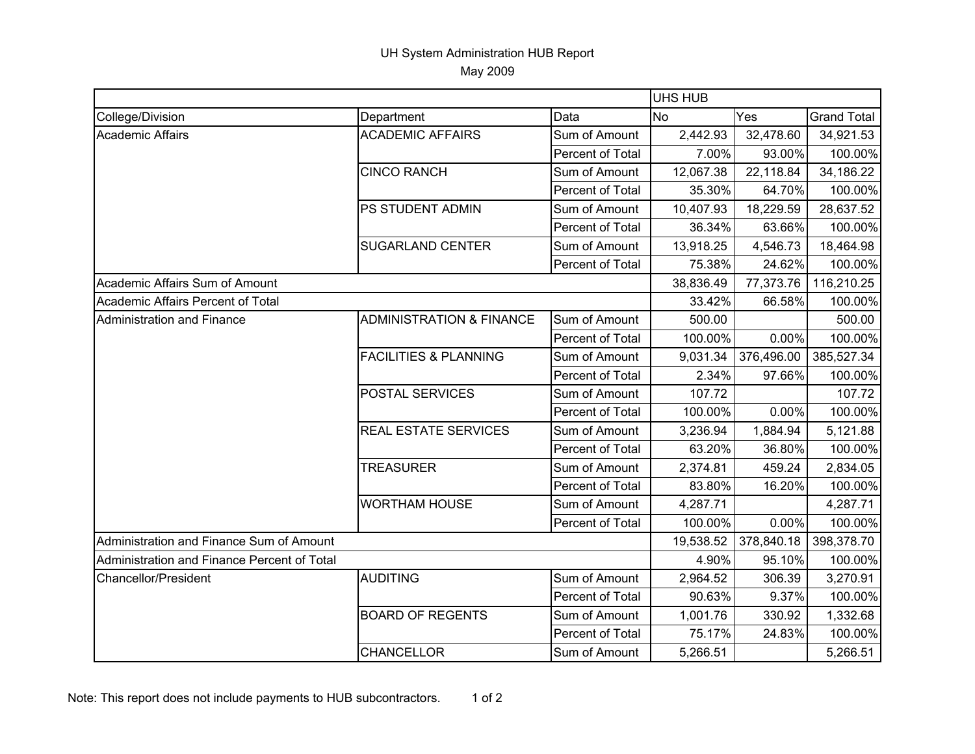## UH System Administration HUB Report May 2009

|                                             |                                     |                  |           | <b>UHS HUB</b> |                    |  |  |
|---------------------------------------------|-------------------------------------|------------------|-----------|----------------|--------------------|--|--|
| College/Division                            | Department                          | Data             | <b>No</b> | Yes            | <b>Grand Total</b> |  |  |
| Academic Affairs                            | <b>ACADEMIC AFFAIRS</b>             | Sum of Amount    | 2,442.93  | 32,478.60      | 34,921.53          |  |  |
|                                             |                                     | Percent of Total | 7.00%     | 93.00%         | 100.00%            |  |  |
|                                             | <b>CINCO RANCH</b>                  | Sum of Amount    | 12,067.38 | 22,118.84      | 34,186.22          |  |  |
|                                             |                                     | Percent of Total | 35.30%    | 64.70%         | 100.00%            |  |  |
|                                             | PS STUDENT ADMIN                    | Sum of Amount    | 10,407.93 | 18,229.59      | 28,637.52          |  |  |
|                                             |                                     | Percent of Total | 36.34%    | 63.66%         | 100.00%            |  |  |
|                                             | <b>SUGARLAND CENTER</b>             | Sum of Amount    | 13,918.25 | 4,546.73       | 18,464.98          |  |  |
|                                             |                                     | Percent of Total | 75.38%    | 24.62%         | 100.00%            |  |  |
| Academic Affairs Sum of Amount              |                                     |                  | 38,836.49 | 77,373.76      | 116,210.25         |  |  |
| Academic Affairs Percent of Total           |                                     |                  | 33.42%    | 66.58%         | 100.00%            |  |  |
| Administration and Finance                  | <b>ADMINISTRATION &amp; FINANCE</b> | Sum of Amount    | 500.00    |                | 500.00             |  |  |
|                                             |                                     | Percent of Total | 100.00%   | 0.00%          | 100.00%            |  |  |
|                                             | <b>FACILITIES &amp; PLANNING</b>    | Sum of Amount    | 9,031.34  | 376,496.00     | 385,527.34         |  |  |
|                                             |                                     | Percent of Total | 2.34%     | 97.66%         | 100.00%            |  |  |
|                                             | <b>POSTAL SERVICES</b>              | Sum of Amount    | 107.72    |                | 107.72             |  |  |
|                                             |                                     | Percent of Total | 100.00%   | 0.00%          | 100.00%            |  |  |
|                                             | <b>REAL ESTATE SERVICES</b>         | Sum of Amount    | 3,236.94  | 1,884.94       | 5,121.88           |  |  |
|                                             |                                     | Percent of Total | 63.20%    | 36.80%         | 100.00%            |  |  |
|                                             | <b>TREASURER</b>                    | Sum of Amount    | 2,374.81  | 459.24         | 2,834.05           |  |  |
|                                             |                                     | Percent of Total | 83.80%    | 16.20%         | 100.00%            |  |  |
|                                             | <b>WORTHAM HOUSE</b>                | Sum of Amount    | 4,287.71  |                | 4,287.71           |  |  |
|                                             |                                     | Percent of Total | 100.00%   | 0.00%          | 100.00%            |  |  |
| Administration and Finance Sum of Amount    |                                     |                  | 19,538.52 | 378,840.18     | 398,378.70         |  |  |
| Administration and Finance Percent of Total |                                     |                  | 4.90%     | 95.10%         | 100.00%            |  |  |
| <b>Chancellor/President</b>                 | <b>AUDITING</b>                     | Sum of Amount    | 2,964.52  | 306.39         | 3,270.91           |  |  |
|                                             |                                     | Percent of Total | 90.63%    | 9.37%          | 100.00%            |  |  |
|                                             | <b>BOARD OF REGENTS</b>             | Sum of Amount    | 1,001.76  | 330.92         | 1,332.68           |  |  |
|                                             |                                     | Percent of Total | 75.17%    | 24.83%         | 100.00%            |  |  |
|                                             | <b>CHANCELLOR</b>                   | Sum of Amount    | 5,266.51  |                | 5,266.51           |  |  |